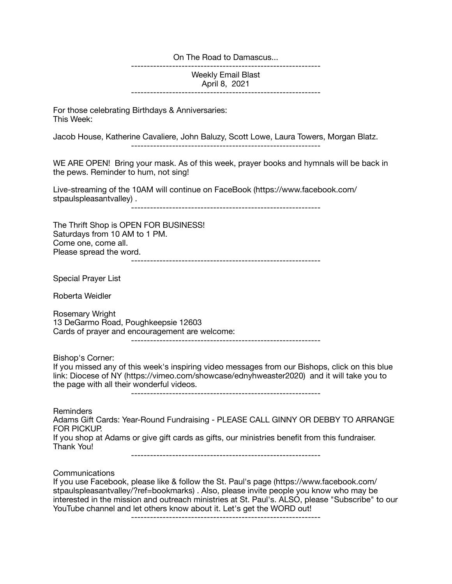On The Road to Damascus...

------------------------------------------------------------

Weekly Email Blast April 8, 2021

------------------------------------------------------------

For those celebrating Birthdays & Anniversaries: This Week:

Jacob House, Katherine Cavaliere, John Baluzy, Scott Lowe, Laura Towers, Morgan Blatz.

------------------------------------------------------------

WE ARE OPEN! Bring your mask. As of this week, prayer books and hymnals will be back in the pews. Reminder to hum, not sing!

Live-streaming of the 10AM will continue on FaceBook (https://www.facebook.com/ stpaulspleasantvalley) .

------------------------------------------------------------

The Thrift Shop is OPEN FOR BUSINESS! Saturdays from 10 AM to 1 PM. Come one, come all. Please spread the word. ------------------------------------------------------------

Special Prayer List

Roberta Weidler

Rosemary Wright 13 DeGarmo Road, Poughkeepsie 12603 Cards of prayer and encouragement are welcome:

------------------------------------------------------------

Bishop's Corner:

If you missed any of this week's inspiring video messages from our Bishops, click on this blue link: Diocese of NY (https://vimeo.com/showcase/ednyhweaster2020) and it will take you to the page with all their wonderful videos.

------------------------------------------------------------

Reminders

Adams Gift Cards: Year-Round Fundraising - PLEASE CALL GINNY OR DEBBY TO ARRANGE FOR PICKUP.

If you shop at Adams or give gift cards as gifts, our ministries benefit from this fundraiser. Thank You!

------------------------------------------------------------

Communications

If you use Facebook, please like & follow the St. Paul's page (https://www.facebook.com/ stpaulspleasantvalley/?ref=bookmarks) . Also, please invite people you know who may be interested in the mission and outreach ministries at St. Paul's. ALSO, please "Subscribe" to our YouTube channel and let others know about it. Let's get the WORD out!

------------------------------------------------------------